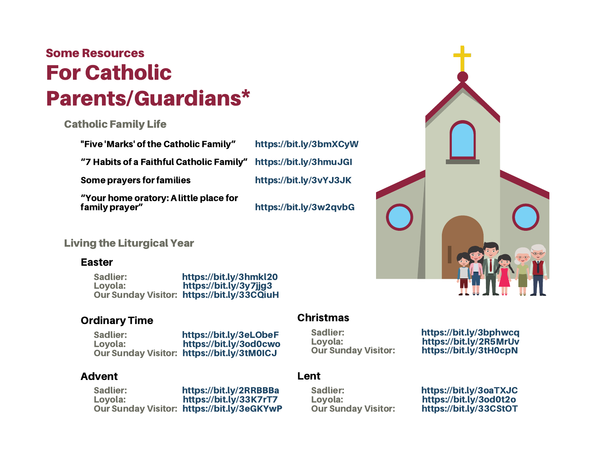# For Catholic Parents/Guardians\* Some Resources

## Catholic Family Life

"Five 'Marks' of the Catholic Family"

"7 Habits of a Faithful Catholic Family"

Some prayers for families

https://bit.ly/3hmuJGI https://bit.ly/3vYJ3JK

https://bit.ly/3w2qvbG

https://bit.ly/3bmXCyW

"Your home oratory: A little place for family prayer"

## Living the Liturgical Year

#### Easter

Sadlier: https://bit.ly/3hmkl20 Loyola: https://bit.ly/3y7jjg3 Our Sunday Visitor: https://bit.ly/33CQiuH

#### Ordinary Time

Sadlier: https://bit.ly/3eLObeF Loyola: https://bit.ly/3od0cwo Our Sunday Visitor: https://bit.ly/3tM0ICJ

#### Advent

Sadlier: https://bit.ly/2RRBBBa Loyola: https://bit.ly/33K7rT7 Our Sunday Visitor: https://bit.ly/3eGKYwP

## Christmas

Sadlier: https://bit.ly/3bphwcq Loyola: https://bit.ly/2R5MrUv<br>Our Sunday Visitor: https://bit.ly/3tH0cpN https://bit.ly/3tH0cpN

### Lent

Sadlier: https://bit.ly/3oaTXJC Loyola: https://bit.ly/3od0t2o https://bit.ly/33CStOT